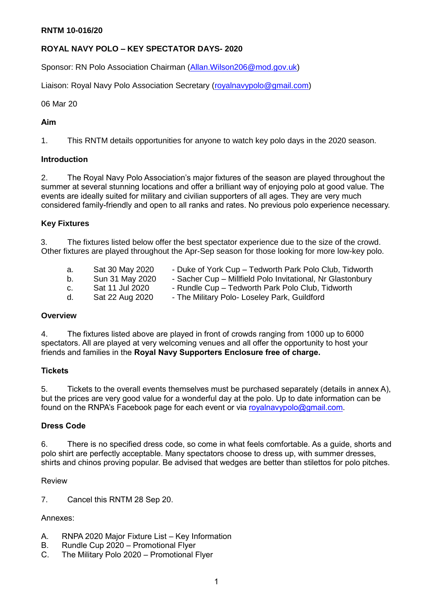#### **ROYAL NAVY POLO – KEY SPECTATOR DAYS- 2020**

Sponsor: RN Polo Association Chairman [\(Allan.Wilson206@mod.gov.uk\)](mailto:Allan.Wilson206@mod.gov.uk)

Liaison: Royal Navy Polo Association Secretary [\(royalnavypolo@gmail.com\)](mailto:royalnavypolo@gmail.com)

06 Mar 20

#### **Aim**

1. This RNTM details opportunities for anyone to watch key polo days in the 2020 season.

#### **Introduction**

2. The Royal Navy Polo Association's major fixtures of the season are played throughout the summer at several stunning locations and offer a brilliant way of enjoying polo at good value. The events are ideally suited for military and civilian supporters of all ages. They are very much considered family-friendly and open to all ranks and rates. No previous polo experience necessary.

#### **Key Fixtures**

3. The fixtures listed below offer the best spectator experience due to the size of the crowd. Other fixtures are played throughout the Apr-Sep season for those looking for more low-key polo.

| a. | Sat 30 May 2020 | - Duke of York Cup - Tedworth Park Polo Club, Tidworth     |
|----|-----------------|------------------------------------------------------------|
| b. | Sun 31 May 2020 | - Sacher Cup - Millfield Polo Invitational, Nr Glastonbury |
| C. | Sat 11 Jul 2020 | - Rundle Cup – Tedworth Park Polo Club, Tidworth           |
| d. | Sat 22 Aug 2020 | - The Military Polo- Loseley Park, Guildford               |

#### **Overview**

4. The fixtures listed above are played in front of crowds ranging from 1000 up to 6000 spectators. All are played at very welcoming venues and all offer the opportunity to host your friends and families in the **Royal Navy Supporters Enclosure free of charge.**

#### **Tickets**

5. Tickets to the overall events themselves must be purchased separately (details in annex A), but the prices are very good value for a wonderful day at the polo. Up to date information can be found on the RNPA's Facebook page for each event or via [royalnavypolo@gmail.com.](mailto:royalnavypolo@gmail.com)

#### **Dress Code**

6. There is no specified dress code, so come in what feels comfortable. As a guide, shorts and polo shirt are perfectly acceptable. Many spectators choose to dress up, with summer dresses, shirts and chinos proving popular. Be advised that wedges are better than stilettos for polo pitches.

#### Review

7. Cancel this RNTM 28 Sep 20.

#### Annexes:

- A. RNPA 2020 Major Fixture List Key Information
- B. Rundle Cup 2020 Promotional Flyer
- C. The Military Polo 2020 Promotional Flyer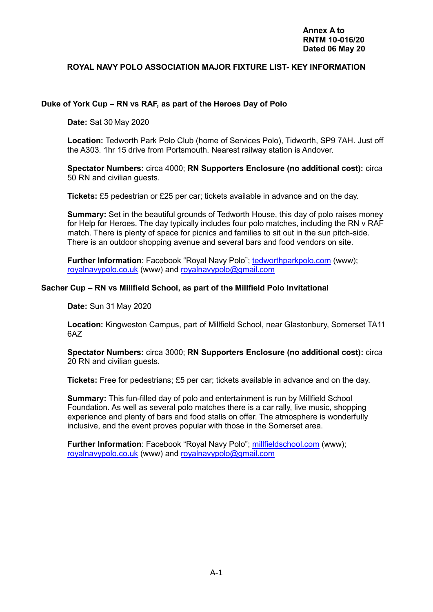#### **ROYAL NAVY POLO ASSOCIATION MAJOR FIXTURE LIST- KEY INFORMATION**

#### **Duke of York Cup – RN vs RAF, as part of the Heroes Day of Polo**

**Date:** Sat 30 May 2020

**Location:** Tedworth Park Polo Club (home of Services Polo), Tidworth, SP9 7AH. Just off the A303. 1hr 15 drive from Portsmouth. Nearest railway station is Andover.

**Spectator Numbers:** circa 4000; **RN Supporters Enclosure (no additional cost):** circa 50 RN and civilian guests.

**Tickets:** £5 pedestrian or £25 per car; tickets available in advance and on the day.

**Summary:** Set in the beautiful grounds of Tedworth House, this day of polo raises money for Help for Heroes. The day typically includes four polo matches, including the RN v RAF match. There is plenty of space for picnics and families to sit out in the sun pitch-side. There is an outdoor shopping avenue and several bars and food vendors on site.

Further Information: Facebook "Royal Navy Polo"; [tedworthparkpolo.com](http://tedworthparkpolo.com/heroes-day-30th-may-2020/) (www); [royalnavypolo.co.uk](http://www.royalnavypolo.co.uk/tournaments--events.html) (www) and [royalnavypolo@gmail.com](mailto:royalnavypolo@gmail.com)

#### **Sacher Cup – RN vs Millfield School, as part of the Millfield Polo Invitational**

**Date:** Sun 31 May 2020

**Location:** Kingweston Campus, part of Millfield School, near Glastonbury, Somerset TA11 6AZ

**Spectator Numbers:** circa 3000; **RN Supporters Enclosure (no additional cost):** circa 20 RN and civilian guests.

**Tickets:** Free for pedestrians; £5 per car; tickets available in advance and on the day.

**Summary:** This fun-filled day of polo and entertainment is run by Millfield School Foundation. As well as several polo matches there is a car rally, live music, shopping experience and plenty of bars and food stalls on offer. The atmosphere is wonderfully inclusive, and the event proves popular with those in the Somerset area.

**Further Information**: Facebook "Royal Navy Polo"; [millfieldschool.com](https://millfieldschool.com/polo) (www); [royalnavypolo.co.uk](http://www.royalnavypolo.co.uk/tournaments--events.html) (www) and [royalnavypolo@gmail.com](mailto:royalnavypolo@gmail.com)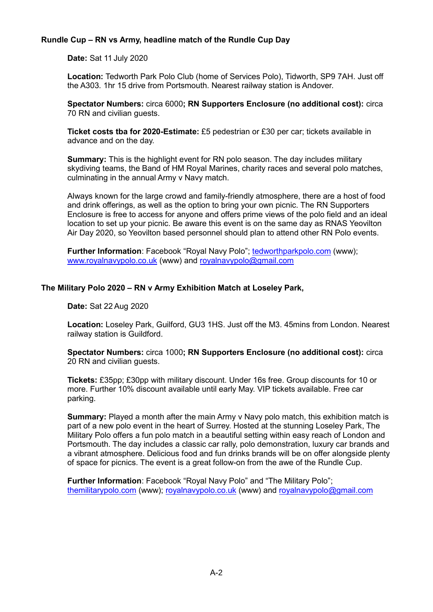#### **Rundle Cup – RN vs Army, headline match of the Rundle Cup Day**

**Date:** Sat 11 July 2020

**Location:** Tedworth Park Polo Club (home of Services Polo), Tidworth, SP9 7AH. Just off the A303. 1hr 15 drive from Portsmouth. Nearest railway station is Andover.

**Spectator Numbers:** circa 6000**; RN Supporters Enclosure (no additional cost):** circa 70 RN and civilian guests.

**Ticket costs tba for 2020-Estimate:** £5 pedestrian or £30 per car; tickets available in advance and on the day.

**Summary:** This is the highlight event for RN polo season. The day includes military skydiving teams, the Band of HM Royal Marines, charity races and several polo matches, culminating in the annual Army v Navy match.

Always known for the large crowd and family-friendly atmosphere, there are a host of food and drink offerings, as well as the option to bring your own picnic. The RN Supporters Enclosure is free to access for anyone and offers prime views of the polo field and an ideal location to set up your picnic. Be aware this event is on the same day as RNAS Yeovilton Air Day 2020, so Yeovilton based personnel should plan to attend other RN Polo events.

**Further Information**: Facebook "Royal Navy Polo"; [tedworthparkpolo.com](http://tedworthparkpolo.com/the-rundle-cup-11th-july-2020/) (www); [www.royalnavypolo.co.uk](http://www.royalnavypolo.co.uk/tournaments--events.html) (www) and [royalnavypolo@gmail.com](mailto:royalnavypolo@gmail.com)

#### **The Military Polo 2020 – RN v Army Exhibition Match at Loseley Park,**

**Date:** Sat 22 Aug 2020

**Location:** Loseley Park, Guilford, GU3 1HS. Just off the M3. 45mins from London. Nearest railway station is Guildford.

**Spectator Numbers:** circa 1000**; RN Supporters Enclosure (no additional cost):** circa 20 RN and civilian guests.

**Tickets:** £35pp; £30pp with military discount. Under 16s free. Group discounts for 10 or more. Further 10% discount available until early May. VIP tickets available. Free car parking.

**Summary:** Played a month after the main Army v Navy polo match, this exhibition match is part of a new polo event in the heart of Surrey. Hosted at the stunning Loseley Park, The Military Polo offers a fun polo match in a beautiful setting within easy reach of London and Portsmouth. The day includes a classic car rally, polo demonstration, luxury car brands and a vibrant atmosphere. Delicious food and fun drinks brands will be on offer alongside plenty of space for picnics. The event is a great follow-on from the awe of the Rundle Cup.

**Further Information: Facebook "Royal Navy Polo" and "The Military Polo";** [themilitarypolo.com](https://www.themilitarypolo.com/) (www); [royalnavypolo.co.uk](http://www.royalnavypolo.co.uk/tournaments--events.html) (www) and [royalnavypolo@gmail.com](mailto:royalnavypolo@gmail.com)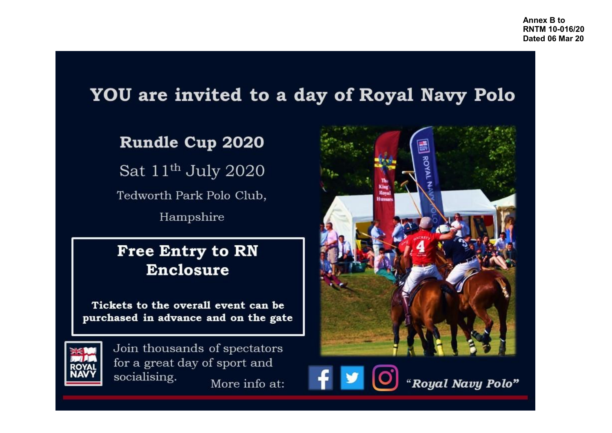# YOU are invited to a day of Royal Navy Polo

## Rundle Cup 2020

Sat 11<sup>th</sup> July 2020

Tedworth Park Polo Club,

Hampshire

### **Free Entry to RN Enclosure**

Tickets to the overall event can be purchased in advance and on the gate



Join thousands of spectators for a great day of sport and socialising. More info at:



"Royal Navy Polo"